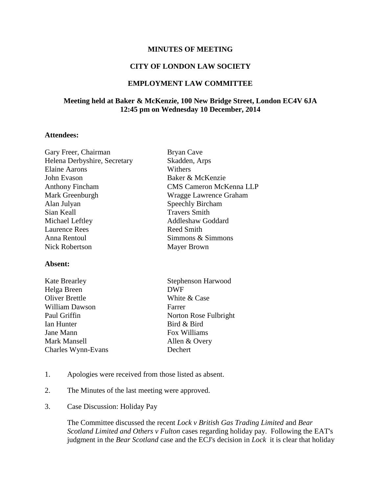## **MINUTES OF MEETING**

# **CITY OF LONDON LAW SOCIETY**

## **EMPLOYMENT LAW COMMITTEE**

# **Meeting held at Baker & McKenzie, 100 New Bridge Street, London EC4V 6JA 12:45 pm on Wednesday 10 December, 2014**

#### **Attendees:**

| Gary Freer, Chairman         | <b>Bryan Cave</b>              |
|------------------------------|--------------------------------|
| Helena Derbyshire, Secretary | Skadden, Arps                  |
| <b>Elaine Aarons</b>         | Withers                        |
| John Evason                  | Baker & McKenzie               |
| <b>Anthony Fincham</b>       | <b>CMS Cameron McKenna LLP</b> |
| Mark Greenburgh              | Wragge Lawrence Graham         |
| Alan Julyan                  | <b>Speechly Bircham</b>        |
| Sian Keall                   | <b>Travers Smith</b>           |
| Michael Leftley              | Addleshaw Goddard              |
| <b>Laurence Rees</b>         | Reed Smith                     |
| Anna Rentoul                 | Simmons & Simmons              |
| Nick Robertson               | Mayer Brown                    |
| Absent:                      |                                |

| <b>Kate Brearley</b>  | <b>Stephenson Harwood</b> |
|-----------------------|---------------------------|
| Helga Breen           | <b>DWF</b>                |
| <b>Oliver Brettle</b> | White & Case              |
| <b>William Dawson</b> | Farrer                    |
| Paul Griffin          | Norton Rose Fulbright     |
| Ian Hunter            | Bird & Bird               |
| Jane Mann             | Fox Williams              |
| Mark Mansell          | Allen & Overy             |
| Charles Wynn-Evans    | Dechert                   |
|                       |                           |

- 1. Apologies were received from those listed as absent.
- 2. The Minutes of the last meeting were approved.
- 3. Case Discussion: Holiday Pay

The Committee discussed the recent *Lock v British Gas Trading Limited* and *Bear Scotland Limited and Others v Fulton* cases regarding holiday pay. Following the EAT's judgment in the *Bear Scotland* case and the ECJ's decision in *Lock* it is clear that holiday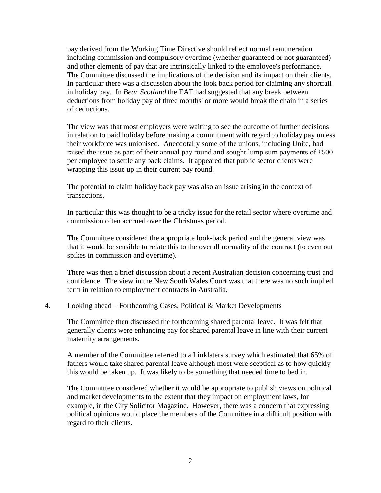pay derived from the Working Time Directive should reflect normal remuneration including commission and compulsory overtime (whether guaranteed or not guaranteed) and other elements of pay that are intrinsically linked to the employee's performance. The Committee discussed the implications of the decision and its impact on their clients. In particular there was a discussion about the look back period for claiming any shortfall in holiday pay. In *Bear Scotland* the EAT had suggested that any break between deductions from holiday pay of three months' or more would break the chain in a series of deductions.

The view was that most employers were waiting to see the outcome of further decisions in relation to paid holiday before making a commitment with regard to holiday pay unless their workforce was unionised. Anecdotally some of the unions, including Unite, had raised the issue as part of their annual pay round and sought lump sum payments of £500 per employee to settle any back claims. It appeared that public sector clients were wrapping this issue up in their current pay round.

The potential to claim holiday back pay was also an issue arising in the context of transactions.

In particular this was thought to be a tricky issue for the retail sector where overtime and commission often accrued over the Christmas period.

The Committee considered the appropriate look-back period and the general view was that it would be sensible to relate this to the overall normality of the contract (to even out spikes in commission and overtime).

There was then a brief discussion about a recent Australian decision concerning trust and confidence. The view in the New South Wales Court was that there was no such implied term in relation to employment contracts in Australia.

## 4. Looking ahead – Forthcoming Cases, Political & Market Developments

The Committee then discussed the forthcoming shared parental leave. It was felt that generally clients were enhancing pay for shared parental leave in line with their current maternity arrangements.

A member of the Committee referred to a Linklaters survey which estimated that 65% of fathers would take shared parental leave although most were sceptical as to how quickly this would be taken up. It was likely to be something that needed time to bed in.

The Committee considered whether it would be appropriate to publish views on political and market developments to the extent that they impact on employment laws, for example, in the City Solicitor Magazine. However, there was a concern that expressing political opinions would place the members of the Committee in a difficult position with regard to their clients.